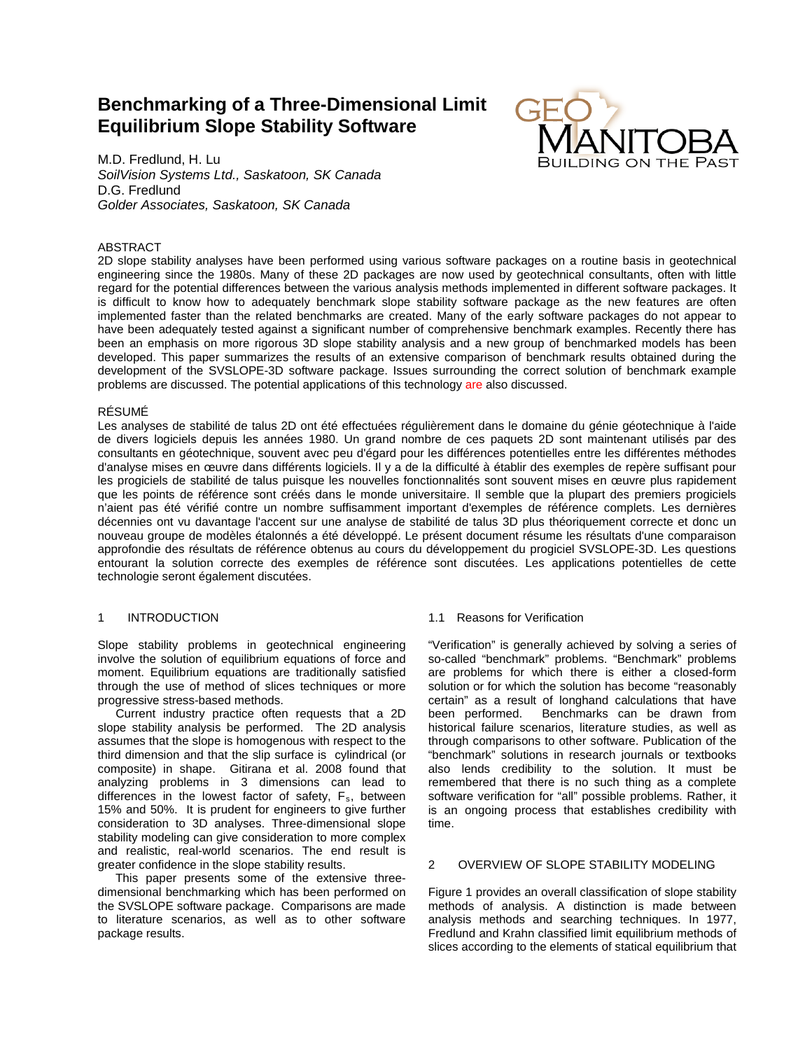# **Benchmarking of a Three-Dimensional Limit Equilibrium Slope Stability Software**



M.D. Fredlund, H. Lu *SoilVision Systems Ltd., Saskatoon, SK Canada* D.G. Fredlund *Golder Associates, Saskatoon, SK Canada*

## ABSTRACT

2D slope stability analyses have been performed using various software packages on a routine basis in geotechnical engineering since the 1980s. Many of these 2D packages are now used by geotechnical consultants, often with little regard for the potential differences between the various analysis methods implemented in different software packages. It is difficult to know how to adequately benchmark slope stability software package as the new features are often implemented faster than the related benchmarks are created. Many of the early software packages do not appear to have been adequately tested against a significant number of comprehensive benchmark examples. Recently there has been an emphasis on more rigorous 3D slope stability analysis and a new group of benchmarked models has been developed. This paper summarizes the results of an extensive comparison of benchmark results obtained during the development of the SVSLOPE-3D software package. Issues surrounding the correct solution of benchmark example problems are discussed. The potential applications of this technology are also discussed.

# RÉSUMÉ

Les analyses de stabilité de talus 2D ont été effectuées régulièrement dans le domaine du génie géotechnique à l'aide de divers logiciels depuis les années 1980. Un grand nombre de ces paquets 2D sont maintenant utilisés par des consultants en géotechnique, souvent avec peu d'égard pour les différences potentielles entre les différentes méthodes d'analyse mises en œuvre dans différents logiciels. Il y a de la difficulté à établir des exemples de repère suffisant pour les progiciels de stabilité de talus puisque les nouvelles fonctionnalités sont souvent mises en œuvre plus rapidement que les points de référence sont créés dans le monde universitaire. Il semble que la plupart des premiers progiciels n'aient pas été vérifié contre un nombre suffisamment important d'exemples de référence complets. Les dernières décennies ont vu davantage l'accent sur une analyse de stabilité de talus 3D plus théoriquement correcte et donc un nouveau groupe de modèles étalonnés a été développé. Le présent document résume les résultats d'une comparaison approfondie des résultats de référence obtenus au cours du développement du progiciel SVSLOPE-3D. Les questions entourant la solution correcte des exemples de référence sont discutées. Les applications potentielles de cette technologie seront également discutées.

#### 1 INTRODUCTION

Slope stability problems in geotechnical engineering involve the solution of equilibrium equations of force and moment. Equilibrium equations are traditionally satisfied through the use of method of slices techniques or more progressive stress-based methods.

Current industry practice often requests that a 2D slope stability analysis be performed. The 2D analysis assumes that the slope is homogenous with respect to the third dimension and that the slip surface is cylindrical (or composite) in shape. Gitirana et al. 2008 found that analyzing problems in 3 dimensions can lead to differences in the lowest factor of safety,  $F_s$ , between 15% and 50%. It is prudent for engineers to give further consideration to 3D analyses. Three-dimensional slope stability modeling can give consideration to more complex and realistic, real-world scenarios. The end result is greater confidence in the slope stability results.

This paper presents some of the extensive threedimensional benchmarking which has been performed on the SVSLOPE software package. Comparisons are made to literature scenarios, as well as to other software package results.

# 1.1 Reasons for Verification

"Verification" is generally achieved by solving a series of so-called "benchmark" problems. "Benchmark" problems are problems for which there is either a closed-form solution or for which the solution has become "reasonably certain" as a result of longhand calculations that have Benchmarks can be drawn from historical failure scenarios, literature studies, as well as through comparisons to other software. Publication of the "benchmark" solutions in research journals or textbooks also lends credibility to the solution. It must be remembered that there is no such thing as a complete software verification for "all" possible problems. Rather, it is an ongoing process that establishes credibility with time.

### 2 OVERVIEW OF SLOPE STABILITY MODELING

Figure 1 provides an overall classification of slope stability methods of analysis. A distinction is made between analysis methods and searching techniques. In 1977, Fredlund and Krahn classified limit equilibrium methods of slices according to the elements of statical equilibrium that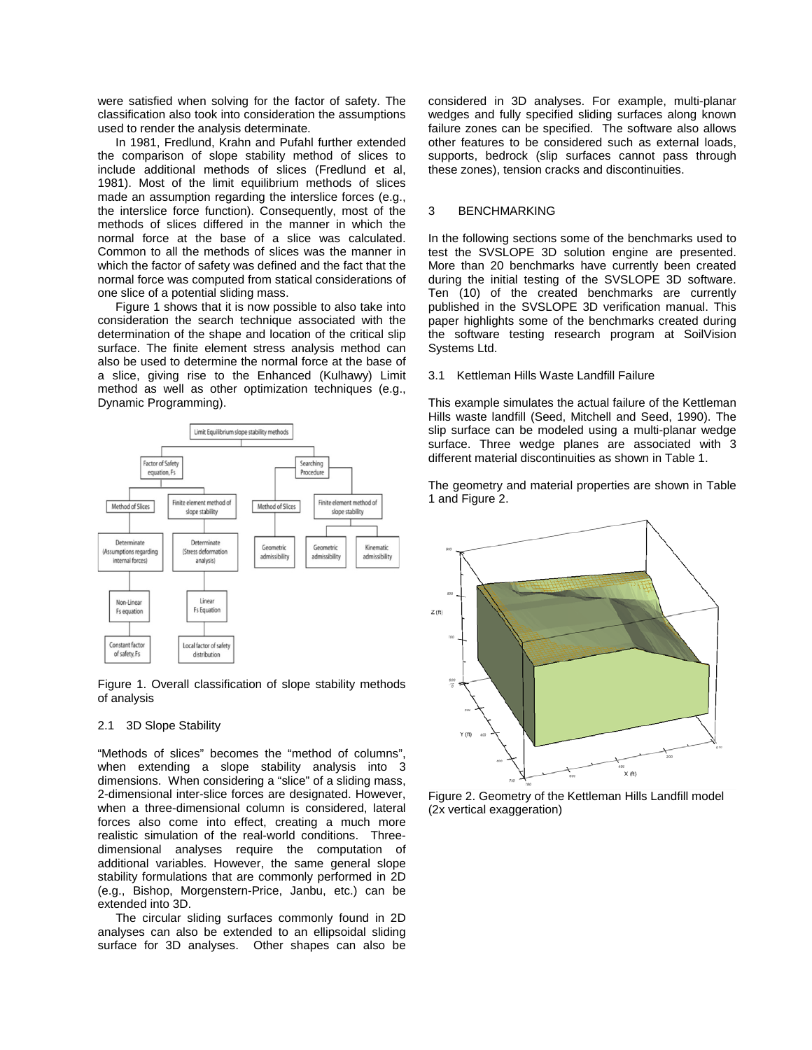were satisfied when solving for the factor of safety. The classification also took into consideration the assumptions used to render the analysis determinate.

In 1981, Fredlund, Krahn and Pufahl further extended the comparison of slope stability method of slices to include additional methods of slices (Fredlund et al, 1981). Most of the limit equilibrium methods of slices made an assumption regarding the interslice forces (e.g., the interslice force function). Consequently, most of the methods of slices differed in the manner in which the normal force at the base of a slice was calculated. Common to all the methods of slices was the manner in which the factor of safety was defined and the fact that the normal force was computed from statical considerations of one slice of a potential sliding mass.

Figure 1 shows that it is now possible to also take into consideration the search technique associated with the determination of the shape and location of the critical slip surface. The finite element stress analysis method can also be used to determine the normal force at the base of a slice, giving rise to the Enhanced (Kulhawy) Limit method as well as other optimization techniques (e.g., Dynamic Programming).



Figure 1. Overall classification of slope stability methods of analysis

#### 2.1 3D Slope Stability

"Methods of slices" becomes the "method of columns", when extending a slope stability analysis into 3 dimensions. When considering a "slice" of a sliding mass, 2-dimensional inter-slice forces are designated. However, when a three-dimensional column is considered, lateral forces also come into effect, creating a much more realistic simulation of the real-world conditions. Threedimensional analyses require the computation of additional variables. However, the same general slope stability formulations that are commonly performed in 2D (e.g., Bishop, Morgenstern-Price, Janbu, etc.) can be extended into 3D.

The circular sliding surfaces commonly found in 2D analyses can also be extended to an ellipsoidal sliding surface for 3D analyses. Other shapes can also be considered in 3D analyses. For example, multi-planar wedges and fully specified sliding surfaces along known failure zones can be specified. The software also allows other features to be considered such as external loads, supports, bedrock (slip surfaces cannot pass through these zones), tension cracks and discontinuities.

#### 3 BENCHMARKING

In the following sections some of the benchmarks used to test the SVSLOPE 3D solution engine are presented. More than 20 benchmarks have currently been created during the initial testing of the SVSLOPE 3D software. Ten (10) of the created benchmarks are currently published in the SVSLOPE 3D verification manual. This paper highlights some of the benchmarks created during the software testing research program at SoilVision Systems Ltd.

#### 3.1 Kettleman Hills Waste Landfill Failure

This example simulates the actual failure of the Kettleman Hills waste landfill (Seed, Mitchell and Seed, 1990). The slip surface can be modeled using a multi-planar wedge surface. Three wedge planes are associated with 3 different material discontinuities as shown i[n Table 1.](#page-2-0)

The geometry and material properties are shown in [Table](#page-2-0)  [1](#page-2-0) and Figure 2.



Figure 2. Geometry of the Kettleman Hills Landfill model (2x vertical exaggeration)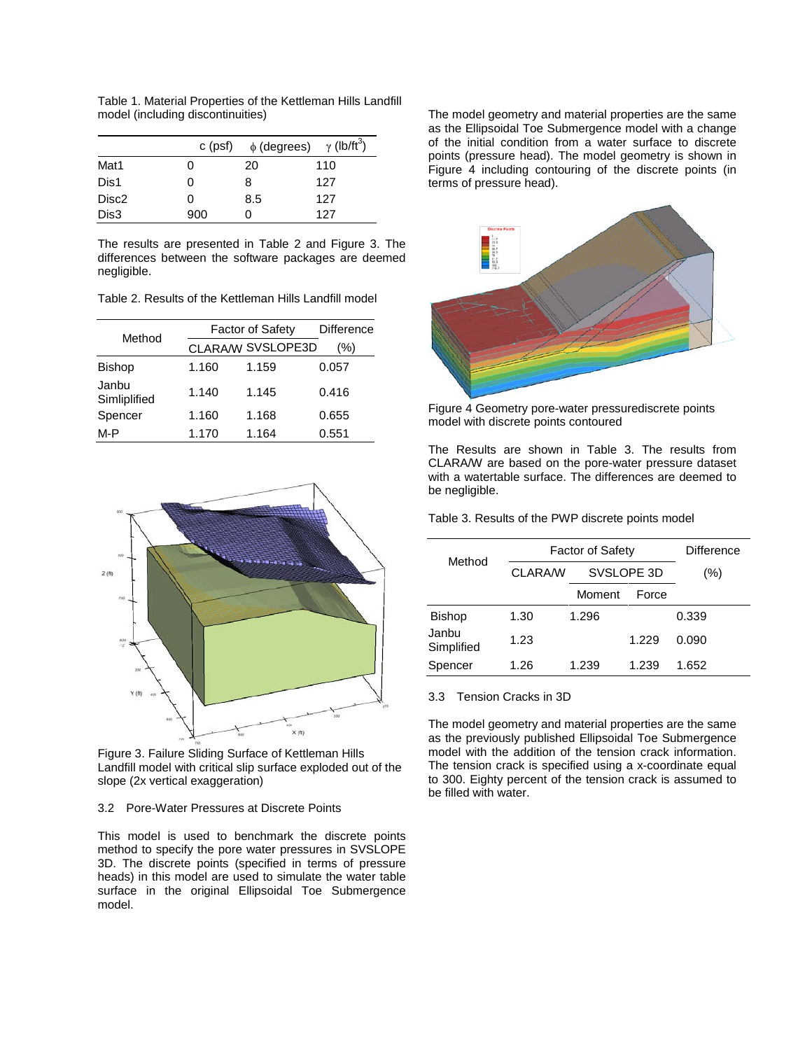<span id="page-2-0"></span>Table 1. Material Properties of the Kettleman Hills Landfill model (including discontinuities)

|                   | c (psf) | $\phi$ (degrees) $\gamma$ (lb/ft <sup>3</sup> ) |     |
|-------------------|---------|-------------------------------------------------|-----|
| Mat1              | O       | 20                                              | 110 |
| Dis1              | O       | 8                                               | 127 |
| Disc <sub>2</sub> | O       | 8.5                                             | 127 |
| Dis3              | 900     |                                                 | 127 |

The results are presented in [Table 2](#page-2-1) and Figure 3. The differences between the software packages are deemed negligible.

<span id="page-2-1"></span>Table 2. Results of the Kettleman Hills Landfill model

|                       | <b>Factor of Safety</b> | <b>Difference</b> |       |
|-----------------------|-------------------------|-------------------|-------|
| Method                |                         | CLARA/W SVSLOPE3D | (%)   |
| <b>Bishop</b>         | 1.160                   | 1.159             | 0.057 |
| Janbu<br>Simliplified | 1.140                   | 1.145             | 0.416 |
| Spencer               | 1.160                   | 1.168             | 0.655 |
| M-P                   | 1.170                   | 1.164             | 0.551 |



Figure 3. Failure Sliding Surface of Kettleman Hills Landfill model with critical slip surface exploded out of the slope (2x vertical exaggeration)

# 3.2 Pore-Water Pressures at Discrete Points

This model is used to benchmark the discrete points method to specify the pore water pressures in SVSLOPE 3D. The discrete points (specified in terms of pressure heads) in this model are used to simulate the water table surface in the original Ellipsoidal Toe Submergence model.

The model geometry and material properties are the same as the Ellipsoidal Toe Submergence model with a change of the initial condition from a water surface to discrete points (pressure head). The model geometry is shown in Figure 4 including contouring of the discrete points (in terms of pressure head).



Figure 4 Geometry pore-water pressurediscrete points model with discrete points contoured

The Results are shown in [Table 3.](#page-2-2) The results from CLARA/W are based on the pore-water pressure dataset with a watertable surface. The differences are deemed to be negligible.

<span id="page-2-2"></span>Table 3. Results of the PWP discrete points model

| Method              | <b>Factor of Safety</b> |        |            | Difference |
|---------------------|-------------------------|--------|------------|------------|
|                     | CLARA/W                 |        | SVSLOPE 3D | (%)        |
|                     |                         | Moment | Force      |            |
| <b>Bishop</b>       | 1.30                    | 1.296  |            | 0.339      |
| Janbu<br>Simplified | 1.23                    |        | 1.229      | 0.090      |
| Spencer             | 1.26                    | 1.239  | 1.239      | 1.652      |

# 3.3 Tension Cracks in 3D

The model geometry and material properties are the same as the previously published Ellipsoidal Toe Submergence model with the addition of the tension crack information. The tension crack is specified using a x-coordinate equal to 300. Eighty percent of the tension crack is assumed to be filled with water.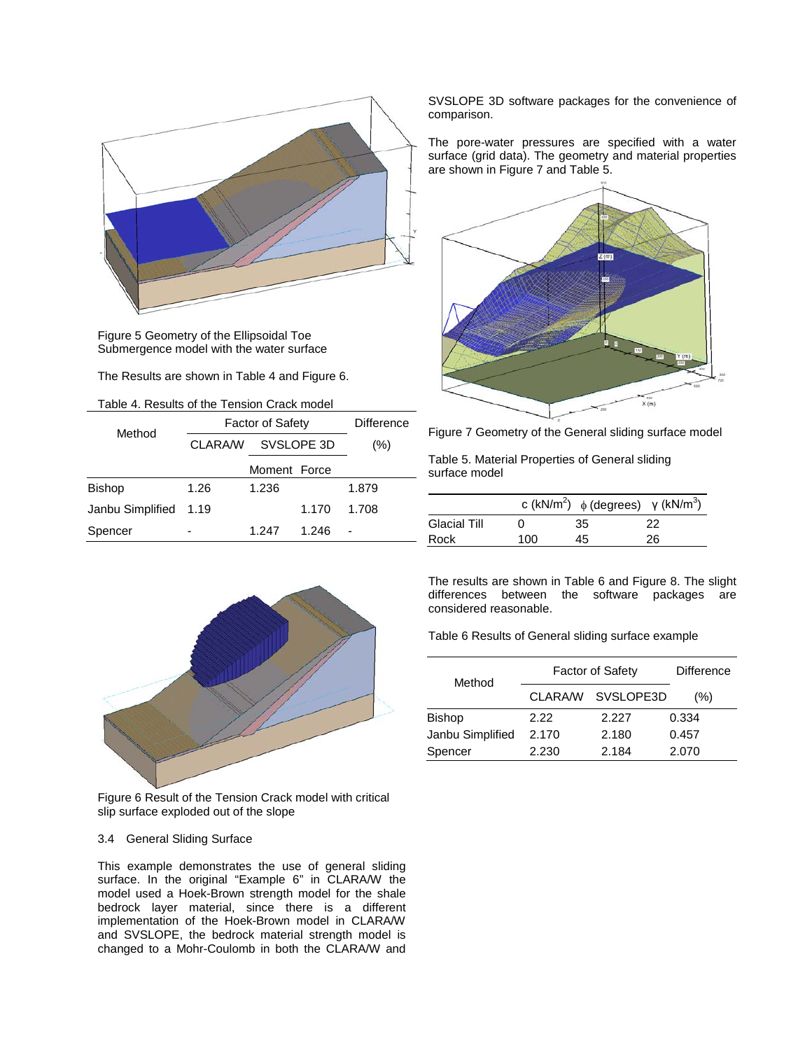

Figure 5 Geometry of the Ellipsoidal Toe Submergence model with the water surface

The Results are shown i[n Table 4](#page-3-0) and Figure 6.

<span id="page-3-0"></span>

| Method           | <b>Factor of Safety</b> | Difference   |       |       |
|------------------|-------------------------|--------------|-------|-------|
|                  | CLARA/W                 | SVSLOPE 3D   |       | (%)   |
|                  |                         | Moment Force |       |       |
| Bishop           | 1.26                    | 1.236        |       | 1.879 |
| Janbu Simplified | 1.19                    |              | 1.170 | 1.708 |
| Spencer          |                         | 1.247        | 1.246 |       |



Figure 6 Result of the Tension Crack model with critical slip surface exploded out of the slope

# 3.4 General Sliding Surface

This example demonstrates the use of general sliding surface. In the original "Example 6" in CLARA/W the model used a Hoek-Brown strength model for the shale bedrock layer material, since there is a different implementation of the Hoek-Brown model in CLARA/W and SVSLOPE, the bedrock material strength model is changed to a Mohr-Coulomb in both the CLARA/W and SVSLOPE 3D software packages for the convenience of comparison.

The pore-water pressures are specified with a water surface (grid data). The geometry and material properties are shown i[n Figure 7](#page-3-1) an[d Table 5.](#page-3-2)



<span id="page-3-1"></span>Figure 7 Geometry of the General sliding surface model

<span id="page-3-2"></span>Table 5. Material Properties of General sliding surface model

|                     |     |    | c (kN/m <sup>2</sup> ) $\phi$ (degrees) $\gamma$ (kN/m <sup>3</sup> ) |
|---------------------|-----|----|-----------------------------------------------------------------------|
| <b>Glacial Till</b> |     | 35 | 22                                                                    |
| Rock                | 100 | 45 | 26                                                                    |

The results are shown in [Table 6](#page-3-3) and [Figure 8.](#page-4-0) The slight differences between the software packages are considered reasonable.

<span id="page-3-3"></span>Table 6 Results of General sliding surface example

| Method           | <b>Factor of Safety</b> | <b>Difference</b> |       |
|------------------|-------------------------|-------------------|-------|
|                  | CLARA/W                 | SVSLOPE3D         | (% )  |
| <b>Bishop</b>    | 2.22                    | 2.227             | 0.334 |
| Janbu Simplified | 2.170                   | 2.180             | 0.457 |
| Spencer          | 2.230                   | 2.184             | 2.070 |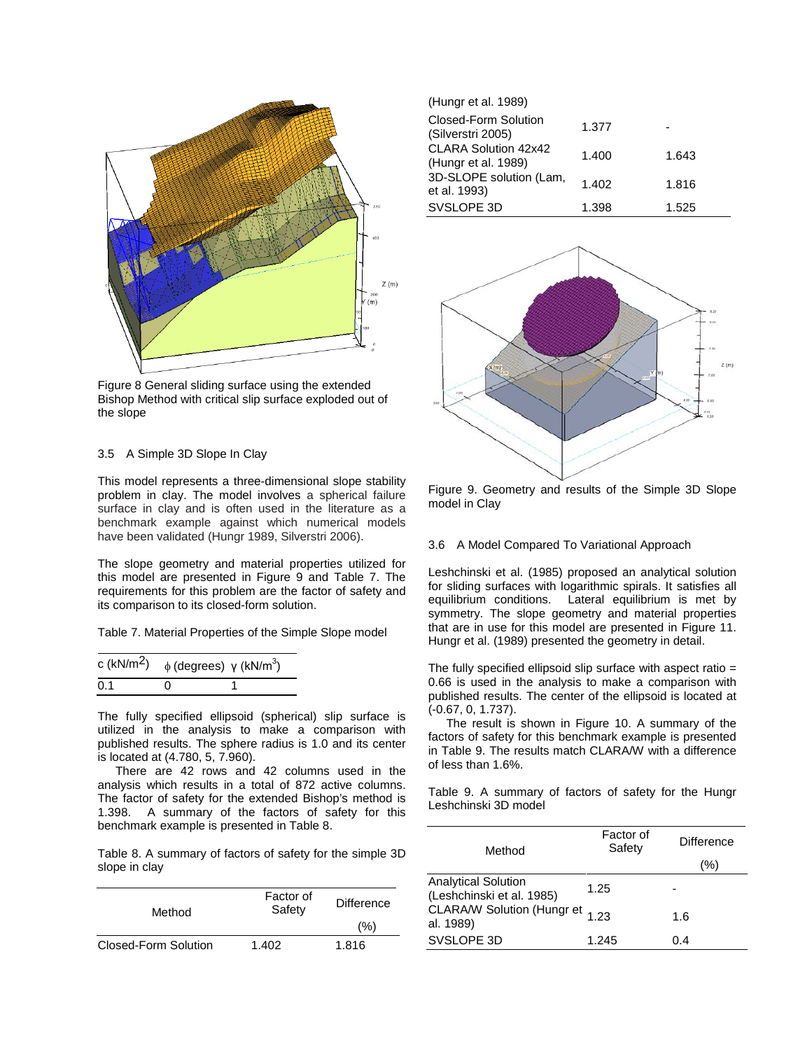

<span id="page-4-0"></span>Figure 8 General sliding surface using the extended Bishop Method with critical slip surface exploded out of the slope

## 3.5 A Simple 3D Slope In Clay

This model represents a three-dimensional slope stability problem in clay. The model involves a spherical failure surface in clay and is often used in the literature as a benchmark example against which numerical models have been validated (Hungr 1989, Silverstri 2006).

The slope geometry and material properties utilized for this model are presented in Figure 9 and [Table 7.](#page-4-1) The requirements for this problem are the factor of safety and its comparison to its closed-form solution.

<span id="page-4-1"></span>Table 7. Material Properties of the Simple Slope model

| c (kN/m <sup>2</sup> ) | $\phi$ (degrees) $\gamma$ (kN/m <sup>3</sup> ) |  |
|------------------------|------------------------------------------------|--|
| 0.1                    | $\mathbf{\Omega}$                              |  |

The fully specified ellipsoid (spherical) slip surface is utilized in the analysis to make a comparison with published results. The sphere radius is 1.0 and its center is located at (4.780, 5, 7.960).

There are 42 rows and 42 columns used in the analysis which results in a total of 872 active columns. The factor of safety for the extended Bishop's method is 1.398. A summary of the factors of safety for this benchmark example is presented in [Table 8.](#page-4-2) 

<span id="page-4-2"></span>Table 8. A summary of factors of safety for the simple 3D slope in clay

| Method               | Factor of<br>Safety | Difference |
|----------------------|---------------------|------------|
|                      |                     | (%)        |
| Closed-Form Solution | 1.402               | 1.816      |

| (Hungr et al. 1989)                         |       |       |
|---------------------------------------------|-------|-------|
| Closed-Form Solution<br>(Silverstri 2005)   | 1.377 |       |
| CLARA Solution 42x42<br>(Hungr et al. 1989) | 1.400 | 1.643 |
| 3D-SLOPE solution (Lam,<br>et al. 1993)     | 1.402 | 1.816 |
| SVSLOPE 3D                                  | 1.398 | 1.525 |



Figure 9. Geometry and results of the Simple 3D Slope model in Clay

## 3.6 A Model Compared To Variational Approach

Leshchinski et al. (1985) proposed an analytical solution for sliding surfaces with logarithmic spirals. It satisfies all equilibrium conditions. Lateral equilibrium is met by symmetry. The slope geometry and material properties that are in use for this model are presented in Figure 11. Hungr et al. (1989) presented the geometry in detail.

The fully specified ellipsoid slip surface with aspect ratio = 0.66 is used in the analysis to make a comparison with published results. The center of the ellipsoid is located at (-0.67, 0, 1.737).

The result is shown in [Figure 10.](#page-5-0) A summary of the factors of safety for this benchmark example is presented in [Table 9.](#page-4-3) The results match CLARA/W with a difference of less than 1.6%.

<span id="page-4-3"></span>Table 9. A summary of factors of safety for the Hungr Leshchinski 3D model

| Method                                                  | Factor of<br>Safety | Difference |
|---------------------------------------------------------|---------------------|------------|
|                                                         |                     | (%)        |
| <b>Analytical Solution</b><br>(Leshchinski et al. 1985) | 1.25                |            |
| CLARA/W Solution (Hungr et 1.23<br>al. 1989)            |                     | 1.6        |
| SVSLOPE 3D                                              | 1.245               | 0.4        |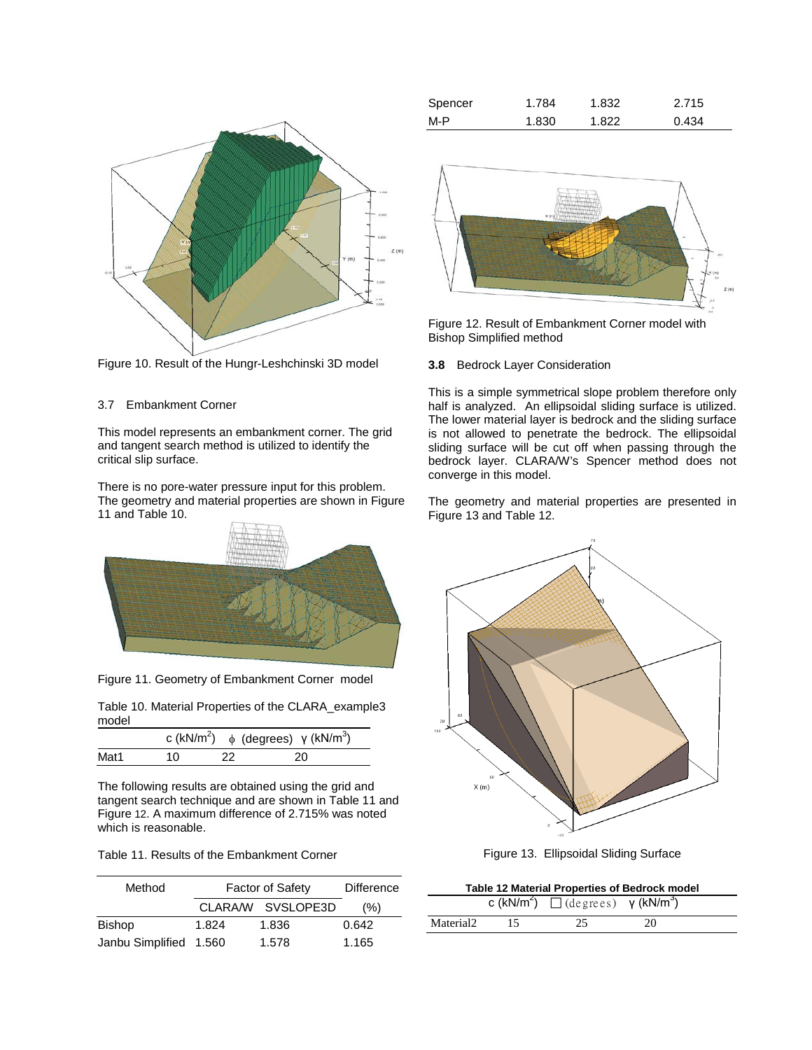

<span id="page-5-0"></span>Figure 10. Result of the Hungr-Leshchinski 3D model

## 3.7 Embankment Corner

This model represents an embankment corner. The grid and tangent search method is utilized to identify the critical slip surface.

There is no pore-water pressure input for this problem. The geometry and material properties are shown in [Figure](#page-5-1)  [11](#page-5-1) an[d Table 10.](#page-5-2)



Figure 11. Geometry of Embankment Corner model

<span id="page-5-2"></span><span id="page-5-1"></span>Table 10. Material Properties of the CLARA\_example3 model

|      |     |     | c (kN/m <sup>2</sup> ) $\phi$ (degrees) $\gamma$ (kN/m <sup>3</sup> ) |
|------|-----|-----|-----------------------------------------------------------------------|
| Mat1 | 10. | -22 | 20                                                                    |

The following results are obtained using the grid and tangent search technique and are shown in [Table 11](#page-5-3) and [Figure](#page-5-4) 12. A maximum difference of 2.715% was noted which is reasonable.

<span id="page-5-3"></span>

| Table 11. Results of the Embankment Corner |
|--------------------------------------------|
|--------------------------------------------|

| Method                 | <b>Factor of Safety</b> | <b>Difference</b> |       |
|------------------------|-------------------------|-------------------|-------|
|                        |                         | CLARA/W SVSLOPE3D | (% )  |
| <b>Bishop</b>          | 1.824                   | 1.836             | 0.642 |
| Janbu Simplified 1.560 |                         | 1.578             | 1.165 |

| Spencer | 1.784 | 1.832 | 2.715 |
|---------|-------|-------|-------|
| M-P     | 1.830 | 1.822 | 0.434 |



<span id="page-5-4"></span>Figure 12. Result of Embankment Corner model with Bishop Simplified method

# **3.8** Bedrock Layer Consideration

This is a simple symmetrical slope problem therefore only half is analyzed. An ellipsoidal sliding surface is utilized. The lower material layer is bedrock and the sliding surface is not allowed to penetrate the bedrock. The ellipsoidal sliding surface will be cut off when passing through the bedrock layer. CLARA/W's Spencer method does not converge in this model.

The geometry and material properties are presented in [Figure 13](#page-5-5) and [Table 12.](#page-5-6)



Figure 13. Ellipsoidal Sliding Surface

<span id="page-5-6"></span><span id="page-5-5"></span>

| <b>Table 12 Material Properties of Bedrock model</b> |    |                                                                       |    |  |  |
|------------------------------------------------------|----|-----------------------------------------------------------------------|----|--|--|
|                                                      |    | c (kN/m <sup>2</sup> ) $\Box$ (degrees) $\gamma$ (kN/m <sup>3</sup> ) |    |  |  |
| Material2                                            | 15 | 25.                                                                   | 20 |  |  |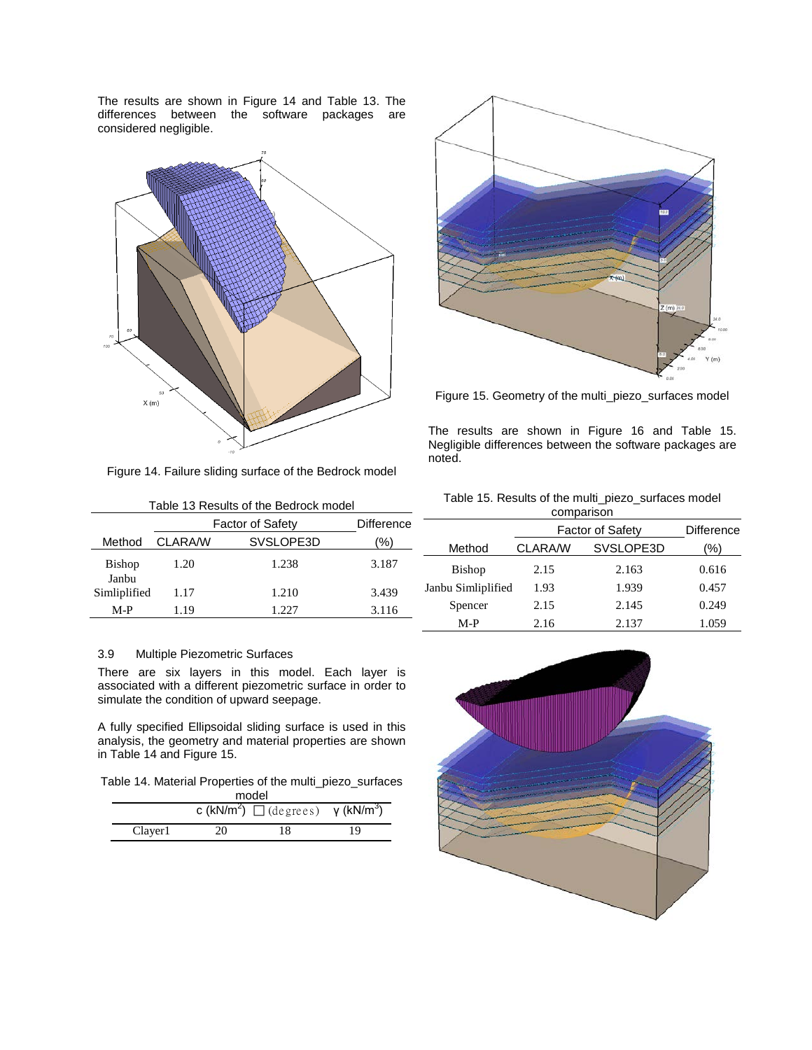The results are shown in [Figure 14](#page-6-0) and [Table 13.](#page-6-1) The differences between the software packages are considered negligible.



<span id="page-6-0"></span>Figure 14. Failure sliding surface of the Bedrock model

<span id="page-6-1"></span>

| Table 13 Results of the Bedrock model |                         |                   |       |  |  |
|---------------------------------------|-------------------------|-------------------|-------|--|--|
|                                       | <b>Factor of Safety</b> | <b>Difference</b> |       |  |  |
| Method                                | <b>CLARA/W</b>          | SVSLOPE3D         | '%)   |  |  |
| <b>Bishop</b><br>Janbu                | 1.20                    | 1.238             | 3.187 |  |  |
| Simliplified                          | 1.17                    | 1.210             | 3.439 |  |  |
| M-P                                   | 1.19                    | 1.22.7            | 3.116 |  |  |

### 3.9 Multiple Piezometric Surfaces

There are six layers in this model. Each layer is associated with a different piezometric surface in order to simulate the condition of upward seepage.

A fully specified Ellipsoidal sliding surface is used in this analysis, the geometry and material properties are shown in [Table 14](#page-6-2) and [Figure 15.](#page-6-3) 

<span id="page-6-2"></span>Table 14. Material Properties of the multi\_piezo\_surfaces model

|         |    | c (kN/m <sup>2</sup> ) $\Box$ (degrees) $\gamma$ (kN/m <sup>3</sup> ) |    |  |  |
|---------|----|-----------------------------------------------------------------------|----|--|--|
| Clayer1 | 20 | 18                                                                    | 19 |  |  |



<span id="page-6-3"></span>Figure 15. Geometry of the multi\_piezo\_surfaces model

The results are shown in [Figure 16](#page-7-0) and [Table 15.](#page-6-4) Negligible differences between the software packages are noted.

<span id="page-6-4"></span>

|  |  |  | Table 15. Results of the multi_piezo_surfaces model |  |
|--|--|--|-----------------------------------------------------|--|
|  |  |  |                                                     |  |

| comparison         |                         |                   |       |  |  |
|--------------------|-------------------------|-------------------|-------|--|--|
|                    | <b>Factor of Safety</b> | <b>Difference</b> |       |  |  |
| Method             | <b>CLARA/W</b>          | (%)               |       |  |  |
| <b>Bishop</b>      | 2.15                    | 2.163             | 0.616 |  |  |
| Janbu Simliplified | 1.93                    | 1.939             | 0.457 |  |  |
| Spencer            | 2.15                    | 2.145             | 0.249 |  |  |
| $M-P$              | 2.16                    | 2.137             | 1.059 |  |  |